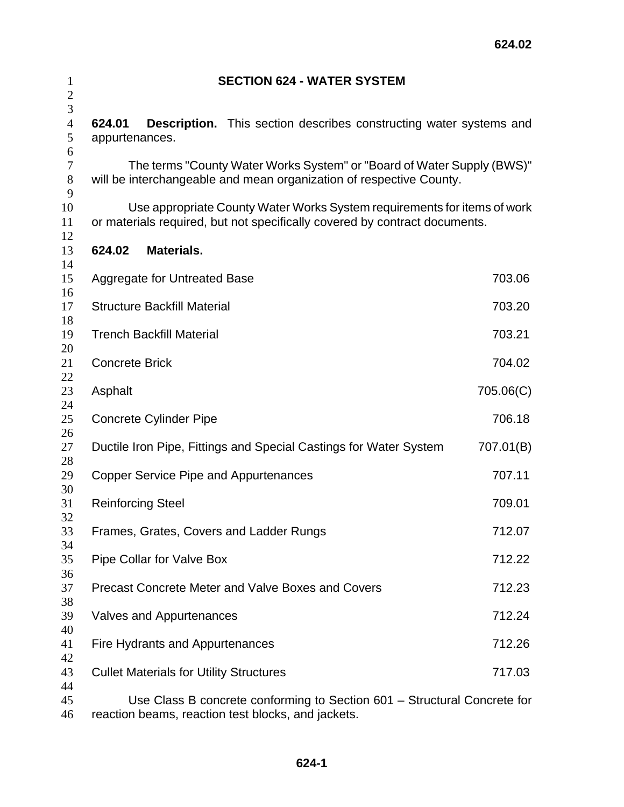| $\mathbf{1}$<br>$\overline{c}$ |                                                                                                                                               |                                                | <b>SECTION 624 - WATER SYSTEM</b>                                                                                                                      |           |  |  |
|--------------------------------|-----------------------------------------------------------------------------------------------------------------------------------------------|------------------------------------------------|--------------------------------------------------------------------------------------------------------------------------------------------------------|-----------|--|--|
| 3<br>$\overline{4}$<br>5       | 624.01<br>appurtenances.                                                                                                                      |                                                | <b>Description.</b> This section describes constructing water systems and                                                                              |           |  |  |
| 6<br>$\tau$<br>$8\,$<br>9      | The terms "County Water Works System" or "Board of Water Supply (BWS)"<br>will be interchangeable and mean organization of respective County. |                                                |                                                                                                                                                        |           |  |  |
| 10<br>11<br>12                 |                                                                                                                                               |                                                | Use appropriate County Water Works System requirements for items of work<br>or materials required, but not specifically covered by contract documents. |           |  |  |
| 13<br>14                       | 624.02                                                                                                                                        | <b>Materials.</b>                              |                                                                                                                                                        |           |  |  |
| 15<br>16                       |                                                                                                                                               | <b>Aggregate for Untreated Base</b>            |                                                                                                                                                        | 703.06    |  |  |
| 17<br>18                       |                                                                                                                                               | <b>Structure Backfill Material</b>             |                                                                                                                                                        | 703.20    |  |  |
| 19                             |                                                                                                                                               | <b>Trench Backfill Material</b>                |                                                                                                                                                        | 703.21    |  |  |
| 20<br>21                       | <b>Concrete Brick</b><br>704.02                                                                                                               |                                                |                                                                                                                                                        |           |  |  |
| 22<br>23                       | Asphalt                                                                                                                                       |                                                |                                                                                                                                                        | 705.06(C) |  |  |
| 24<br>25                       |                                                                                                                                               | <b>Concrete Cylinder Pipe</b>                  |                                                                                                                                                        | 706.18    |  |  |
| 26<br>27                       |                                                                                                                                               |                                                | Ductile Iron Pipe, Fittings and Special Castings for Water System                                                                                      | 707.01(B) |  |  |
| 28<br>29                       |                                                                                                                                               |                                                | Copper Service Pipe and Appurtenances                                                                                                                  | 707.11    |  |  |
| 30<br>31                       | <b>Reinforcing Steel</b>                                                                                                                      |                                                |                                                                                                                                                        | 709.01    |  |  |
| 32<br>33                       |                                                                                                                                               |                                                | Frames, Grates, Covers and Ladder Rungs                                                                                                                | 712.07    |  |  |
| 34<br>35                       |                                                                                                                                               | Pipe Collar for Valve Box                      |                                                                                                                                                        | 712.22    |  |  |
| 36<br>37                       |                                                                                                                                               |                                                | <b>Precast Concrete Meter and Valve Boxes and Covers</b>                                                                                               | 712.23    |  |  |
| 38<br>39                       |                                                                                                                                               | <b>Valves and Appurtenances</b>                |                                                                                                                                                        | 712.24    |  |  |
| 40<br>41                       |                                                                                                                                               | Fire Hydrants and Appurtenances                |                                                                                                                                                        | 712.26    |  |  |
| 42<br>43                       |                                                                                                                                               | <b>Cullet Materials for Utility Structures</b> |                                                                                                                                                        | 717.03    |  |  |
| 44<br>45                       |                                                                                                                                               |                                                | Use Class B concrete conforming to Section 601 – Structural Concrete for                                                                               |           |  |  |

reaction beams, reaction test blocks, and jackets.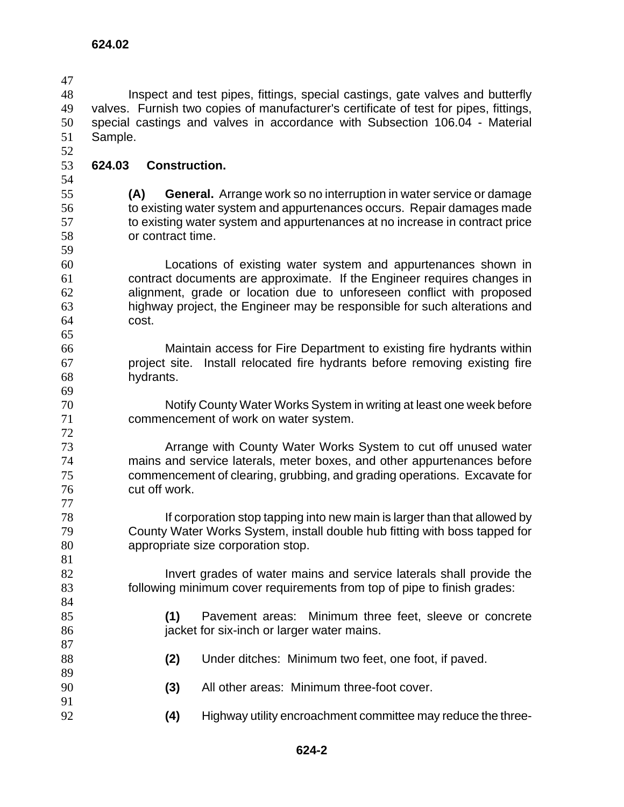Inspect and test pipes, fittings, special castings, gate valves and butterfly valves. Furnish two copies of manufacturer's certificate of test for pipes, fittings, special castings and valves in accordance with Subsection 106.04 - Material Sample. **624.02** 

**624.03 Construction.**

**(A) General.** Arrange work so no interruption in water service or damage to existing water system and appurtenances occurs. Repair damages made to existing water system and appurtenances at no increase in contract price or contract time.

Locations of existing water system and appurtenances shown in contract documents are approximate. If the Engineer requires changes in alignment, grade or location due to unforeseen conflict with proposed highway project, the Engineer may be responsible for such alterations and cost. 

Maintain access for Fire Department to existing fire hydrants within project site. Install relocated fire hydrants before removing existing fire hydrants.

Notify County Water Works System in writing at least one week before commencement of work on water system.

Arrange with County Water Works System to cut off unused water mains and service laterals, meter boxes, and other appurtenances before commencement of clearing, grubbing, and grading operations. Excavate for cut off work.

If corporation stop tapping into new main is larger than that allowed by County Water Works System, install double hub fitting with boss tapped for appropriate size corporation stop.

82 Invert grades of water mains and service laterals shall provide the following minimum cover requirements from top of pipe to finish grades:

**(1)** Pavement areas: Minimum three feet, sleeve or concrete **igacket for six-inch or larger water mains.** 

- **(2)** Under ditches: Minimum two feet, one foot, if paved.
- **(3)** All other areas: Minimum three-foot cover.
- **(4)** Highway utility encroachment committee may reduce the three-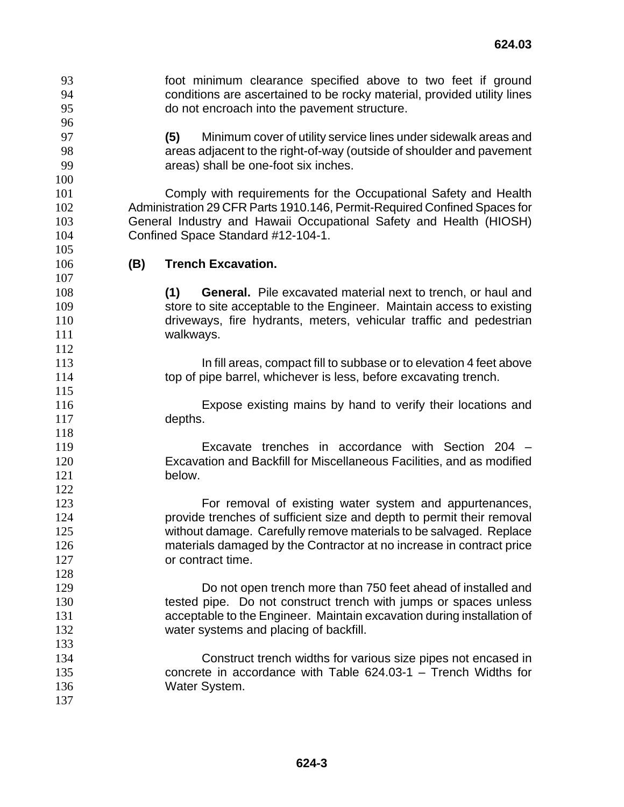- foot minimum clearance specified above to two feet if ground conditions are ascertained to be rocky material, provided utility lines do not encroach into the pavement structure.
- **(5)** Minimum cover of utility service lines under sidewalk areas and areas adjacent to the right-of-way (outside of shoulder and pavement areas) shall be one-foot six inches.

Comply with requirements for the Occupational Safety and Health Administration 29 CFR Parts 1910.146, Permit-Required Confined Spaces for General Industry and Hawaii Occupational Safety and Health (HIOSH) Confined Space Standard #12-104-1.

**(B) Trench Excavation.**

- **(1) General.** Pile excavated material next to trench, or haul and store to site acceptable to the Engineer. Maintain access to existing driveways, fire hydrants, meters, vehicular traffic and pedestrian 111 walkways.
- **In fill areas, compact fill to subbase or to elevation 4 feet above** top of pipe barrel, whichever is less, before excavating trench.
- Expose existing mains by hand to verify their locations and depths.
- Excavate trenches in accordance with Section 204 Excavation and Backfill for Miscellaneous Facilities, and as modified below.
- For removal of existing water system and appurtenances, provide trenches of sufficient size and depth to permit their removal without damage. Carefully remove materials to be salvaged. Replace materials damaged by the Contractor at no increase in contract price or contract time.
- Do not open trench more than 750 feet ahead of installed and tested pipe. Do not construct trench with jumps or spaces unless acceptable to the Engineer. Maintain excavation during installation of water systems and placing of backfill.
- Construct trench widths for various size pipes not encased in concrete in accordance with Table 624.03-1 – Trench Widths for 136 Water System.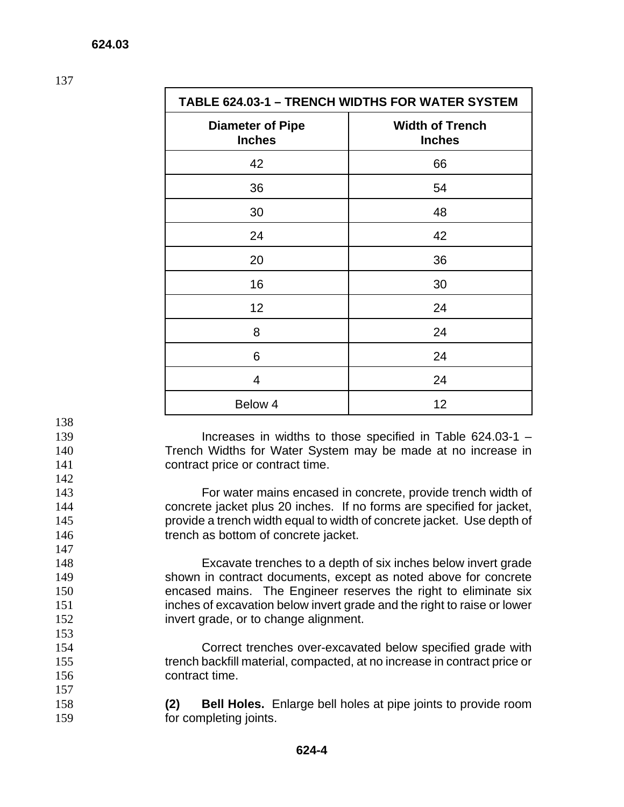| <b>TABLE 624.03-1 - TRENCH WIDTHS FOR WATER SYSTEM</b> |                                         |  |
|--------------------------------------------------------|-----------------------------------------|--|
| <b>Diameter of Pipe</b><br><b>Inches</b>               | <b>Width of Trench</b><br><b>Inches</b> |  |
| 42                                                     | 66                                      |  |
| 36                                                     | 54                                      |  |
| 30                                                     | 48                                      |  |
| 24                                                     | 42                                      |  |
| 20                                                     | 36                                      |  |
| 16                                                     | 30                                      |  |
| 12                                                     | 24                                      |  |
| 8                                                      | 24                                      |  |
| 6                                                      | 24                                      |  |
| 4                                                      | 24                                      |  |
| Below 4                                                | 12                                      |  |

- 138
- 
- 
- 142

147

153

157

139 Increases in widths to those specified in Table 624.03-1 – 140 Trench Widths for Water System may be made at no increase in 141 contract price or contract time.

For water mains encased in concrete, provide trench width of concrete jacket plus 20 inches. If no forms are specified for jacket, provide a trench width equal to width of concrete jacket. Use depth of **trench as bottom of concrete jacket.** 

Excavate trenches to a depth of six inches below invert grade shown in contract documents, except as noted above for concrete encased mains. The Engineer reserves the right to eliminate six inches of excavation below invert grade and the right to raise or lower invert grade, or to change alignment.

154 Correct trenches over-excavated below specified grade with 155 trench backfill material, compacted, at no increase in contract price or 156 contract time.

158 **(2) Bell Holes.** Enlarge bell holes at pipe joints to provide room 159 for completing joints.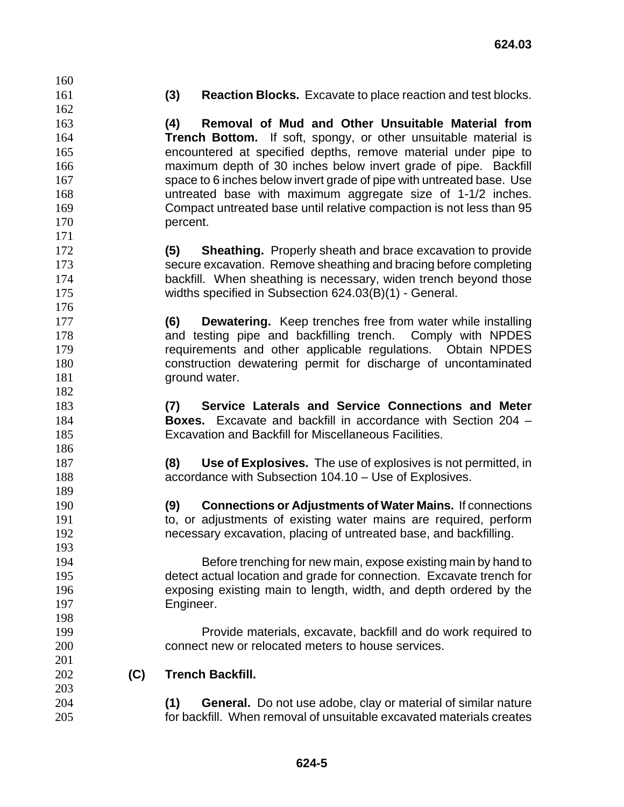**(3) Reaction Blocks.** Excavate to place reaction and test blocks.

**(4) Removal of Mud and Other Unsuitable Material from Trench Bottom.** If soft, spongy, or other unsuitable material is encountered at specified depths, remove material under pipe to maximum depth of 30 inches below invert grade of pipe. Backfill 167 space to 6 inches below invert grade of pipe with untreated base. Use untreated base with maximum aggregate size of 1-1/2 inches. Compact untreated base until relative compaction is not less than 95 170 percent.

- **(5) Sheathing.** Properly sheath and brace excavation to provide secure excavation. Remove sheathing and bracing before completing backfill. When sheathing is necessary, widen trench beyond those widths specified in Subsection 624.03(B)(1) - General.
- **(6) Dewatering.** Keep trenches free from water while installing and testing pipe and backfilling trench. Comply with NPDES requirements and other applicable regulations. Obtain NPDES construction dewatering permit for discharge of uncontaminated **ground water.**
- **(7) Service Laterals and Service Connections and Meter Boxes.** Excavate and backfill in accordance with Section 204 – Excavation and Backfill for Miscellaneous Facilities.
- **(8) Use of Explosives.** The use of explosives is not permitted, in accordance with Subsection 104.10 – Use of Explosives.
- **(9) Connections or Adjustments of Water Mains.** If connections to, or adjustments of existing water mains are required, perform necessary excavation, placing of untreated base, and backfilling.
- Before trenching for new main, expose existing main by hand to detect actual location and grade for connection. Excavate trench for exposing existing main to length, width, and depth ordered by the Engineer.
- Provide materials, excavate, backfill and do work required to connect new or relocated meters to house services.
- **(C) Trench Backfill.**
- **(1) General.** Do not use adobe, clay or material of similar nature for backfill. When removal of unsuitable excavated materials creates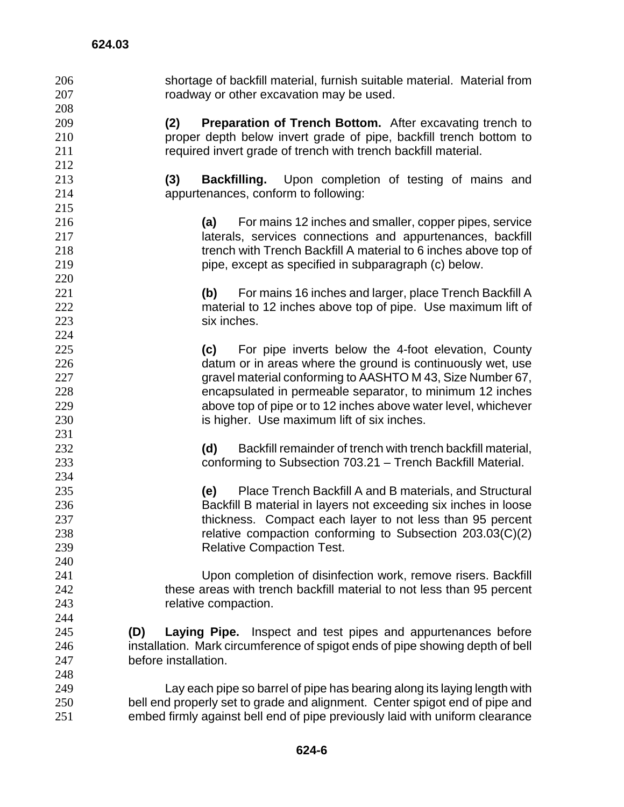| 206 | shortage of backfill material, furnish suitable material. Material from       |
|-----|-------------------------------------------------------------------------------|
| 207 | roadway or other excavation may be used.                                      |
| 208 |                                                                               |
| 209 | <b>Preparation of Trench Bottom.</b> After excavating trench to<br>(2)        |
| 210 | proper depth below invert grade of pipe, backfill trench bottom to            |
| 211 | required invert grade of trench with trench backfill material.                |
| 212 |                                                                               |
| 213 | (3)<br><b>Backfilling.</b> Upon completion of testing of mains and            |
| 214 | appurtenances, conform to following:                                          |
| 215 |                                                                               |
| 216 | For mains 12 inches and smaller, copper pipes, service<br>(a)                 |
| 217 | laterals, services connections and appurtenances, backfill                    |
| 218 | trench with Trench Backfill A material to 6 inches above top of               |
| 219 | pipe, except as specified in subparagraph (c) below.                          |
| 220 |                                                                               |
| 221 | (b) For mains 16 inches and larger, place Trench Backfill A                   |
| 222 | material to 12 inches above top of pipe. Use maximum lift of                  |
| 223 | six inches.                                                                   |
| 224 |                                                                               |
| 225 | For pipe inverts below the 4-foot elevation, County<br>(c)                    |
| 226 | datum or in areas where the ground is continuously wet, use                   |
| 227 | gravel material conforming to AASHTO M 43, Size Number 67,                    |
| 228 | encapsulated in permeable separator, to minimum 12 inches                     |
| 229 |                                                                               |
|     | above top of pipe or to 12 inches above water level, whichever                |
| 230 | is higher. Use maximum lift of six inches.                                    |
| 231 |                                                                               |
| 232 | Backfill remainder of trench with trench backfill material,<br>(d)            |
| 233 | conforming to Subsection 703.21 - Trench Backfill Material.                   |
| 234 |                                                                               |
| 235 | Place Trench Backfill A and B materials, and Structural<br>(e)                |
| 236 | Backfill B material in layers not exceeding six inches in loose               |
| 237 | thickness. Compact each layer to not less than 95 percent                     |
| 238 | relative compaction conforming to Subsection 203.03(C)(2)                     |
| 239 | <b>Relative Compaction Test.</b>                                              |
| 240 |                                                                               |
| 241 | Upon completion of disinfection work, remove risers. Backfill                 |
| 242 | these areas with trench backfill material to not less than 95 percent         |
| 243 | relative compaction.                                                          |
| 244 |                                                                               |
| 245 | Inspect and test pipes and appurtenances before<br>(D)<br>Laying Pipe.        |
| 246 | installation. Mark circumference of spigot ends of pipe showing depth of bell |
| 247 | before installation.                                                          |
| 248 |                                                                               |
| 249 | Lay each pipe so barrel of pipe has bearing along its laying length with      |
| 250 | bell end properly set to grade and alignment. Center spigot end of pipe and   |
| 251 | embed firmly against bell end of pipe previously laid with uniform clearance  |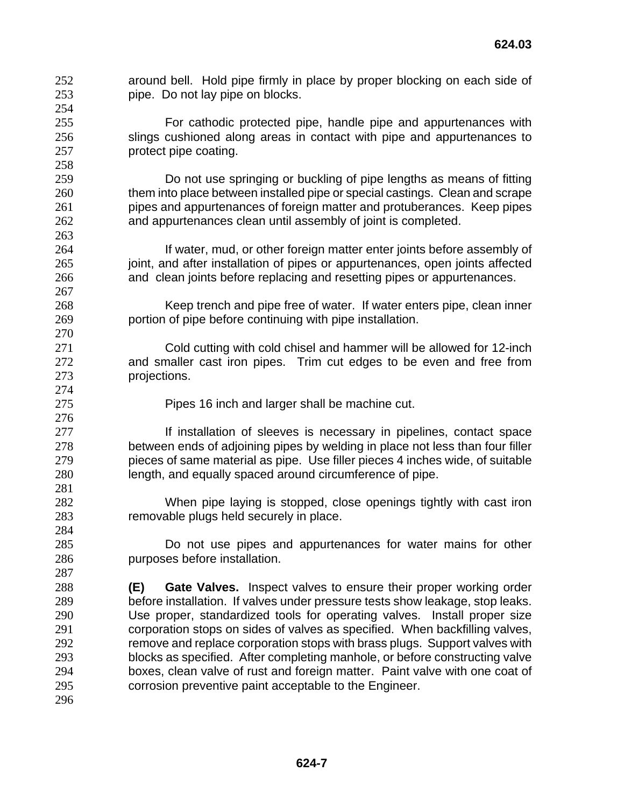- around bell. Hold pipe firmly in place by proper blocking on each side of pipe. Do not lay pipe on blocks.
- For cathodic protected pipe, handle pipe and appurtenances with slings cushioned along areas in contact with pipe and appurtenances to protect pipe coating.
- Do not use springing or buckling of pipe lengths as means of fitting them into place between installed pipe or special castings. Clean and scrape pipes and appurtenances of foreign matter and protuberances. Keep pipes and appurtenances clean until assembly of joint is completed.
- 264 If water, mud, or other foreign matter enter joints before assembly of 265 joint, and after installation of pipes or appurtenances, open joints affected and clean joints before replacing and resetting pipes or appurtenances.
- Keep trench and pipe free of water. If water enters pipe, clean inner portion of pipe before continuing with pipe installation.
- 271 Cold cutting with cold chisel and hammer will be allowed for 12-inch and smaller cast iron pipes. Trim cut edges to be even and free from projections.
- Pipes 16 inch and larger shall be machine cut.
- **If installation of sleeves is necessary in pipelines, contact space** between ends of adjoining pipes by welding in place not less than four filler pieces of same material as pipe. Use filler pieces 4 inches wide, of suitable length, and equally spaced around circumference of pipe.
- 282 When pipe laying is stopped, close openings tightly with cast iron<br>283 Temovable plugs held securely in place. removable plugs held securely in place.
- Do not use pipes and appurtenances for water mains for other purposes before installation.
- **(E) Gate Valves.** Inspect valves to ensure their proper working order before installation. If valves under pressure tests show leakage, stop leaks. Use proper, standardized tools for operating valves. Install proper size corporation stops on sides of valves as specified. When backfilling valves, remove and replace corporation stops with brass plugs. Support valves with blocks as specified. After completing manhole, or before constructing valve boxes, clean valve of rust and foreign matter. Paint valve with one coat of corrosion preventive paint acceptable to the Engineer.
-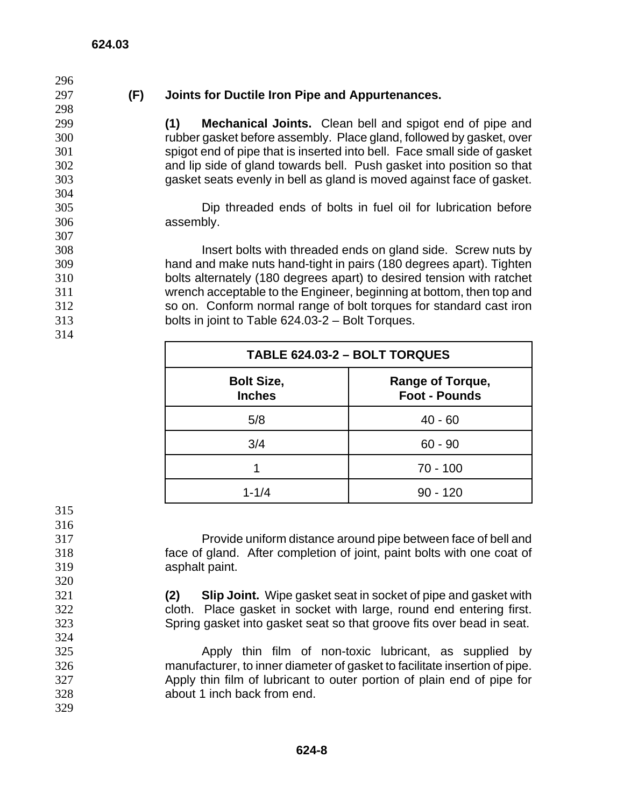## **(F) Joints for Ductile Iron Pipe and Appurtenances.**

**(1) Mechanical Joints.** Clean bell and spigot end of pipe and rubber gasket before assembly. Place gland, followed by gasket, over spigot end of pipe that is inserted into bell. Face small side of gasket and lip side of gland towards bell. Push gasket into position so that gasket seats evenly in bell as gland is moved against face of gasket.

Dip threaded ends of bolts in fuel oil for lubrication before assembly.

Insert bolts with threaded ends on gland side. Screw nuts by hand and make nuts hand-tight in pairs (180 degrees apart). Tighten bolts alternately (180 degrees apart) to desired tension with ratchet wrench acceptable to the Engineer, beginning at bottom, then top and so on. Conform normal range of bolt torques for standard cast iron bolts in joint to Table 624.03-2 – Bolt Torques.

| TABLE 624.03-2 - BOLT TORQUES      |                                                 |  |
|------------------------------------|-------------------------------------------------|--|
| <b>Bolt Size,</b><br><b>Inches</b> | <b>Range of Torque,</b><br><b>Foot - Pounds</b> |  |
| 5/8                                | $40 - 60$                                       |  |
| 3/4                                | $60 - 90$                                       |  |
|                                    | $70 - 100$                                      |  |
| $1 - 1/4$                          | $90 - 120$                                      |  |

 

Provide uniform distance around pipe between face of bell and face of gland. After completion of joint, paint bolts with one coat of asphalt paint.

- **(2) Slip Joint.** Wipe gasket seat in socket of pipe and gasket with cloth. Place gasket in socket with large, round end entering first. Spring gasket into gasket seat so that groove fits over bead in seat.
- Apply thin film of non-toxic lubricant, as supplied by manufacturer, to inner diameter of gasket to facilitate insertion of pipe. Apply thin film of lubricant to outer portion of plain end of pipe for about 1 inch back from end.
-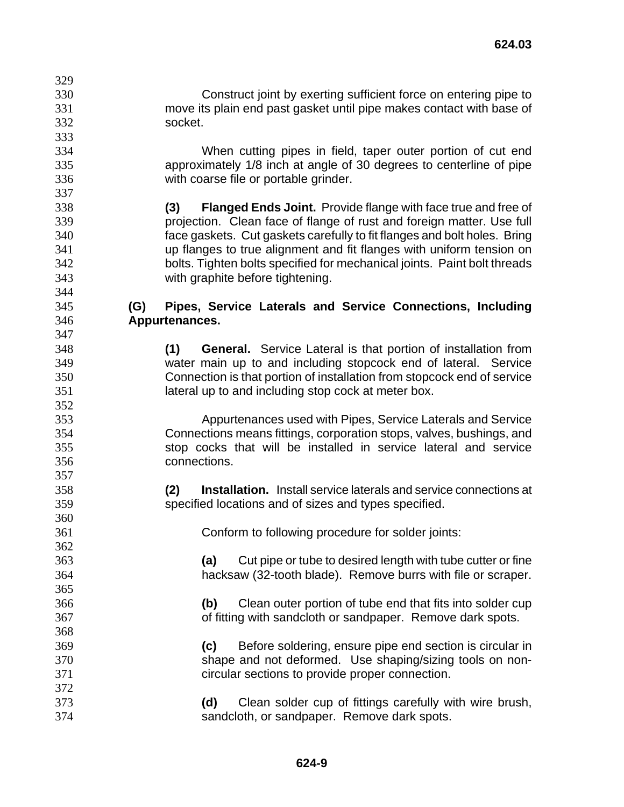Construct joint by exerting sufficient force on entering pipe to move its plain end past gasket until pipe makes contact with base of socket.

When cutting pipes in field, taper outer portion of cut end approximately 1/8 inch at angle of 30 degrees to centerline of pipe with coarse file or portable grinder.

**(3) Flanged Ends Joint.** Provide flange with face true and free of projection. Clean face of flange of rust and foreign matter. Use full face gaskets. Cut gaskets carefully to fit flanges and bolt holes. Bring up flanges to true alignment and fit flanges with uniform tension on bolts. Tighten bolts specified for mechanical joints. Paint bolt threads with graphite before tightening.

## **(G) Pipes, Service Laterals and Service Connections, Including Appurtenances.**

**(1) General.** Service Lateral is that portion of installation from water main up to and including stopcock end of lateral. Service Connection is that portion of installation from stopcock end of service lateral up to and including stop cock at meter box.

Appurtenances used with Pipes, Service Laterals and Service Connections means fittings, corporation stops, valves, bushings, and stop cocks that will be installed in service lateral and service connections.

**(2) Installation.** Install service laterals and service connections at specified locations and of sizes and types specified.

Conform to following procedure for solder joints:

**(a)** Cut pipe or tube to desired length with tube cutter or fine hacksaw (32-tooth blade). Remove burrs with file or scraper.

**(b)** Clean outer portion of tube end that fits into solder cup of fitting with sandcloth or sandpaper. Remove dark spots.

**(c)** Before soldering, ensure pipe end section is circular in shape and not deformed. Use shaping/sizing tools on non-circular sections to provide proper connection.

**(d)** Clean solder cup of fittings carefully with wire brush, sandcloth, or sandpaper. Remove dark spots.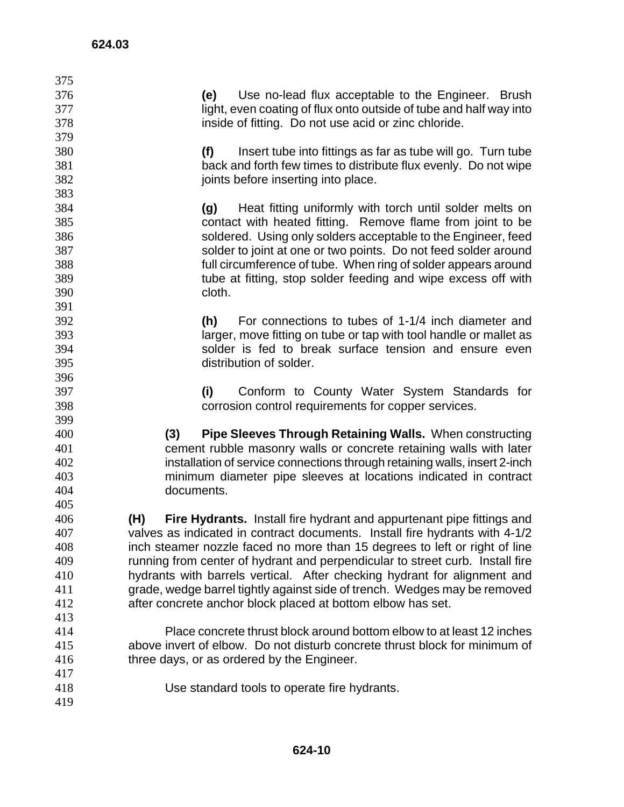| 375 |                                                                               |
|-----|-------------------------------------------------------------------------------|
| 376 | (e)<br>Use no-lead flux acceptable to the Engineer. Brush                     |
| 377 | light, even coating of flux onto outside of tube and half way into            |
| 378 | inside of fitting. Do not use acid or zinc chloride.                          |
| 379 |                                                                               |
| 380 | (f)<br>Insert tube into fittings as far as tube will go. Turn tube            |
| 381 | back and forth few times to distribute flux evenly. Do not wipe               |
| 382 | joints before inserting into place.                                           |
| 383 |                                                                               |
| 384 | Heat fitting uniformly with torch until solder melts on<br>(g)                |
| 385 | contact with heated fitting. Remove flame from joint to be                    |
| 386 | soldered. Using only solders acceptable to the Engineer, feed                 |
| 387 | solder to joint at one or two points. Do not feed solder around               |
| 388 | full circumference of tube. When ring of solder appears around                |
| 389 | tube at fitting, stop solder feeding and wipe excess off with                 |
| 390 | cloth.                                                                        |
| 391 |                                                                               |
| 392 | For connections to tubes of 1-1/4 inch diameter and<br>(h)                    |
| 393 | larger, move fitting on tube or tap with tool handle or mallet as             |
| 394 | solder is fed to break surface tension and ensure even                        |
| 395 | distribution of solder.                                                       |
| 396 |                                                                               |
| 397 | Conform to County Water System Standards for<br>(i)                           |
| 398 | corrosion control requirements for copper services.                           |
| 399 |                                                                               |
| 400 | <b>Pipe Sleeves Through Retaining Walls.</b> When constructing<br>(3)         |
| 401 | cement rubble masonry walls or concrete retaining walls with later            |
| 402 | installation of service connections through retaining walls, insert 2-inch    |
| 403 | minimum diameter pipe sleeves at locations indicated in contract              |
| 404 | documents.                                                                    |
| 405 |                                                                               |
| 406 | Fire Hydrants. Install fire hydrant and appurtenant pipe fittings and<br>(H)  |
| 407 | valves as indicated in contract documents. Install fire hydrants with 4-1/2   |
| 408 | inch steamer nozzle faced no more than 15 degrees to left or right of line    |
| 409 | running from center of hydrant and perpendicular to street curb. Install fire |
| 410 | hydrants with barrels vertical. After checking hydrant for alignment and      |
| 411 | grade, wedge barrel tightly against side of trench. Wedges may be removed     |
| 412 | after concrete anchor block placed at bottom elbow has set.                   |
| 413 |                                                                               |
| 414 | Place concrete thrust block around bottom elbow to at least 12 inches         |
| 415 | above invert of elbow. Do not disturb concrete thrust block for minimum of    |
| 416 | three days, or as ordered by the Engineer.                                    |
| 417 |                                                                               |
| 418 | Use standard tools to operate fire hydrants.                                  |
| 419 |                                                                               |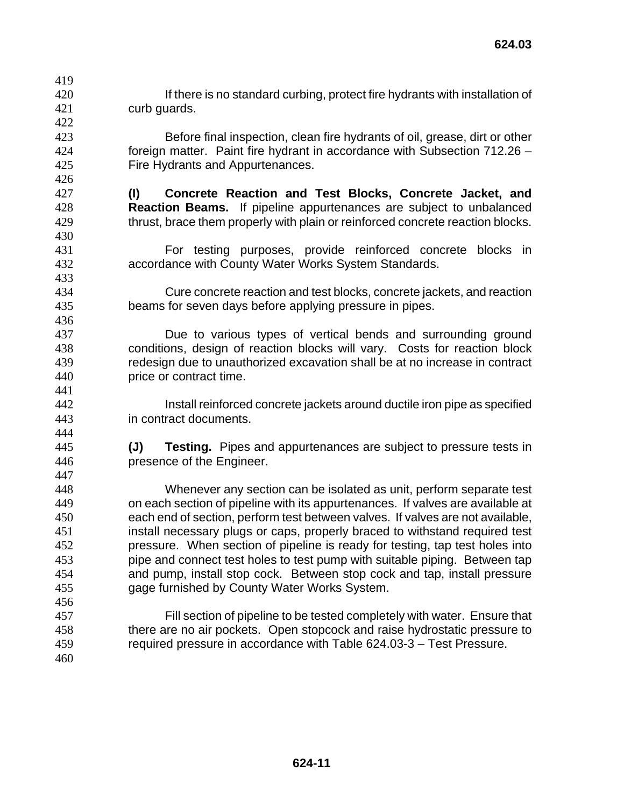- **If there is no standard curbing, protect fire hydrants with installation of** curb guards.
- Before final inspection, clean fire hydrants of oil, grease, dirt or other foreign matter. Paint fire hydrant in accordance with Subsection 712.26 – Fire Hydrants and Appurtenances.
- **(I) Concrete Reaction and Test Blocks, Concrete Jacket, and Reaction Beams.** If pipeline appurtenances are subject to unbalanced thrust, brace them properly with plain or reinforced concrete reaction blocks.
- For testing purposes, provide reinforced concrete blocks in accordance with County Water Works System Standards.
- Cure concrete reaction and test blocks, concrete jackets, and reaction beams for seven days before applying pressure in pipes.
- Due to various types of vertical bends and surrounding ground conditions, design of reaction blocks will vary. Costs for reaction block redesign due to unauthorized excavation shall be at no increase in contract price or contract time.
- Install reinforced concrete jackets around ductile iron pipe as specified in contract documents.
- **(J) Testing.** Pipes and appurtenances are subject to pressure tests in presence of the Engineer.
- Whenever any section can be isolated as unit, perform separate test on each section of pipeline with its appurtenances. If valves are available at each end of section, perform test between valves. If valves are not available, install necessary plugs or caps, properly braced to withstand required test pressure. When section of pipeline is ready for testing, tap test holes into pipe and connect test holes to test pump with suitable piping. Between tap and pump, install stop cock. Between stop cock and tap, install pressure gage furnished by County Water Works System.
- Fill section of pipeline to be tested completely with water. Ensure that there are no air pockets. Open stopcock and raise hydrostatic pressure to required pressure in accordance with Table 624.03-3 – Test Pressure.
-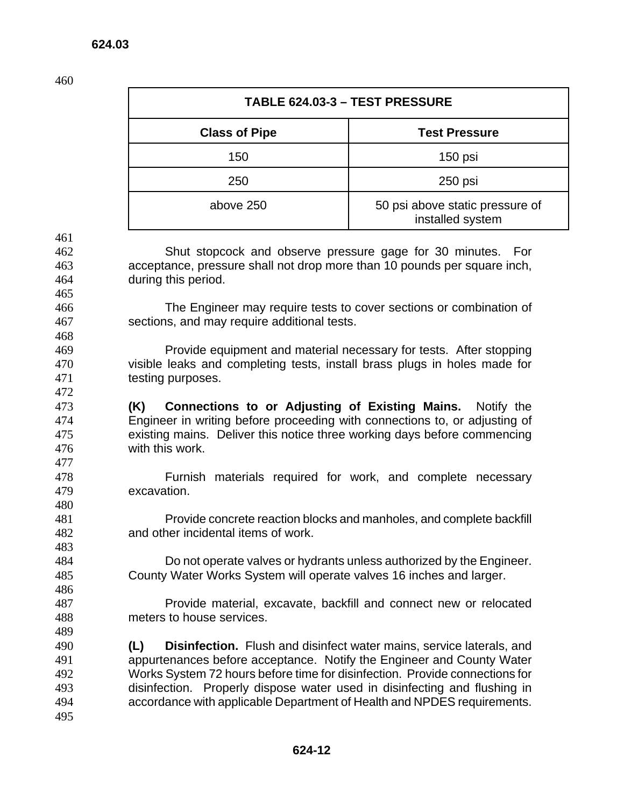| TABLE 624.03-3 - TEST PRESSURE |                                                     |
|--------------------------------|-----------------------------------------------------|
| <b>Class of Pipe</b>           | <b>Test Pressure</b>                                |
| 150                            | $150$ psi                                           |
| 250                            | 250 psi                                             |
| above 250                      | 50 psi above static pressure of<br>installed system |

Shut stopcock and observe pressure gage for 30 minutes. For acceptance, pressure shall not drop more than 10 pounds per square inch, during this period.

The Engineer may require tests to cover sections or combination of sections, and may require additional tests.

Provide equipment and material necessary for tests. After stopping visible leaks and completing tests, install brass plugs in holes made for testing purposes.

**(K) Connections to or Adjusting of Existing Mains.** Notify the Engineer in writing before proceeding with connections to, or adjusting of existing mains. Deliver this notice three working days before commencing with this work.

Furnish materials required for work, and complete necessary excavation. 

Provide concrete reaction blocks and manholes, and complete backfill and other incidental items of work.

Do not operate valves or hydrants unless authorized by the Engineer. County Water Works System will operate valves 16 inches and larger.

Provide material, excavate, backfill and connect new or relocated meters to house services.

**(L) Disinfection.** Flush and disinfect water mains, service laterals, and appurtenances before acceptance. Notify the Engineer and County Water Works System 72 hours before time for disinfection. Provide connections for disinfection. Properly dispose water used in disinfecting and flushing in accordance with applicable Department of Health and NPDES requirements.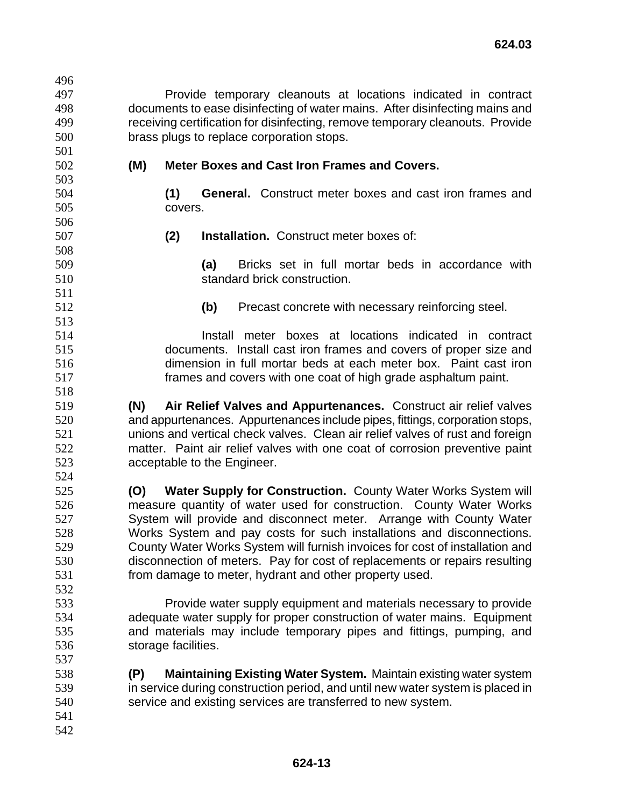Provide temporary cleanouts at locations indicated in contract documents to ease disinfecting of water mains. After disinfecting mains and receiving certification for disinfecting, remove temporary cleanouts. Provide brass plugs to replace corporation stops. **(M) Meter Boxes and Cast Iron Frames and Covers. (1) General.** Construct meter boxes and cast iron frames and covers. **(2) Installation.** Construct meter boxes of: **(a)** Bricks set in full mortar beds in accordance with standard brick construction. **(b)** Precast concrete with necessary reinforcing steel. Install meter boxes at locations indicated in contract documents. Install cast iron frames and covers of proper size and dimension in full mortar beds at each meter box. Paint cast iron frames and covers with one coat of high grade asphaltum paint. **(N) Air Relief Valves and Appurtenances.** Construct air relief valves and appurtenances. Appurtenances include pipes, fittings, corporation stops, unions and vertical check valves. Clean air relief valves of rust and foreign matter. Paint air relief valves with one coat of corrosion preventive paint acceptable to the Engineer. **(O) Water Supply for Construction.** County Water Works System will measure quantity of water used for construction. County Water Works System will provide and disconnect meter. Arrange with County Water Works System and pay costs for such installations and disconnections. County Water Works System will furnish invoices for cost of installation and disconnection of meters. Pay for cost of replacements or repairs resulting from damage to meter, hydrant and other property used. Provide water supply equipment and materials necessary to provide adequate water supply for proper construction of water mains. Equipment and materials may include temporary pipes and fittings, pumping, and storage facilities. **(P) Maintaining Existing Water System.** Maintain existing water system in service during construction period, and until new water system is placed in service and existing services are transferred to new system.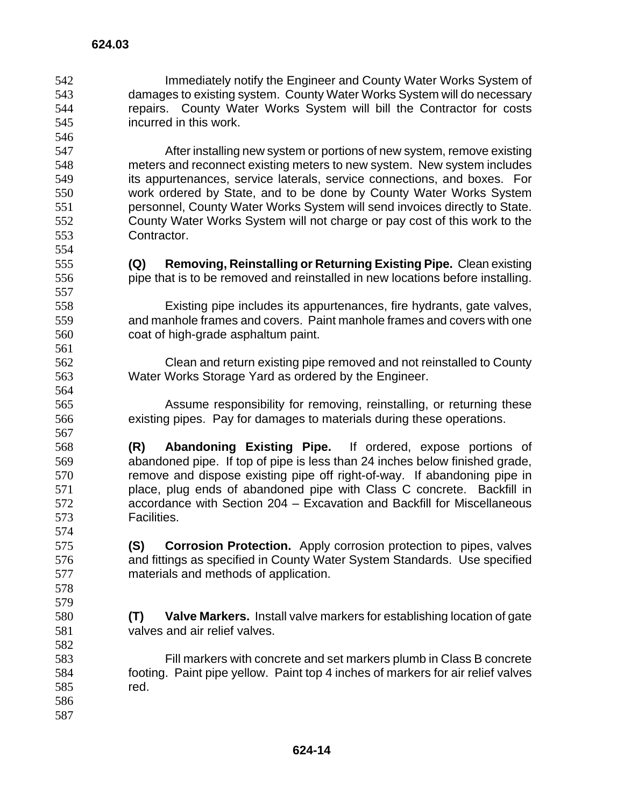Immediately notify the Engineer and County Water Works System of damages to existing system. County Water Works System will do necessary repairs. County Water Works System will bill the Contractor for costs incurred in this work. 

After installing new system or portions of new system, remove existing meters and reconnect existing meters to new system. New system includes its appurtenances, service laterals, service connections, and boxes. For work ordered by State, and to be done by County Water Works System personnel, County Water Works System will send invoices directly to State. County Water Works System will not charge or pay cost of this work to the Contractor.

- **624.03**
- 

 

**(Q) Removing, Reinstalling or Returning Existing Pipe.** Clean existing pipe that is to be removed and reinstalled in new locations before installing.

Existing pipe includes its appurtenances, fire hydrants, gate valves, and manhole frames and covers. Paint manhole frames and covers with one coat of high-grade asphaltum paint.

Clean and return existing pipe removed and not reinstalled to County Water Works Storage Yard as ordered by the Engineer.

Assume responsibility for removing, reinstalling, or returning these existing pipes. Pay for damages to materials during these operations.

**(R) Abandoning Existing Pipe.** If ordered, expose portions of abandoned pipe. If top of pipe is less than 24 inches below finished grade, remove and dispose existing pipe off right-of-way. If abandoning pipe in place, plug ends of abandoned pipe with Class C concrete. Backfill in accordance with Section 204 – Excavation and Backfill for Miscellaneous Facilities.

**(S) Corrosion Protection.** Apply corrosion protection to pipes, valves and fittings as specified in County Water System Standards. Use specified materials and methods of application.

**(T) Valve Markers.** Install valve markers for establishing location of gate valves and air relief valves.

Fill markers with concrete and set markers plumb in Class B concrete footing. Paint pipe yellow. Paint top 4 inches of markers for air relief valves red.